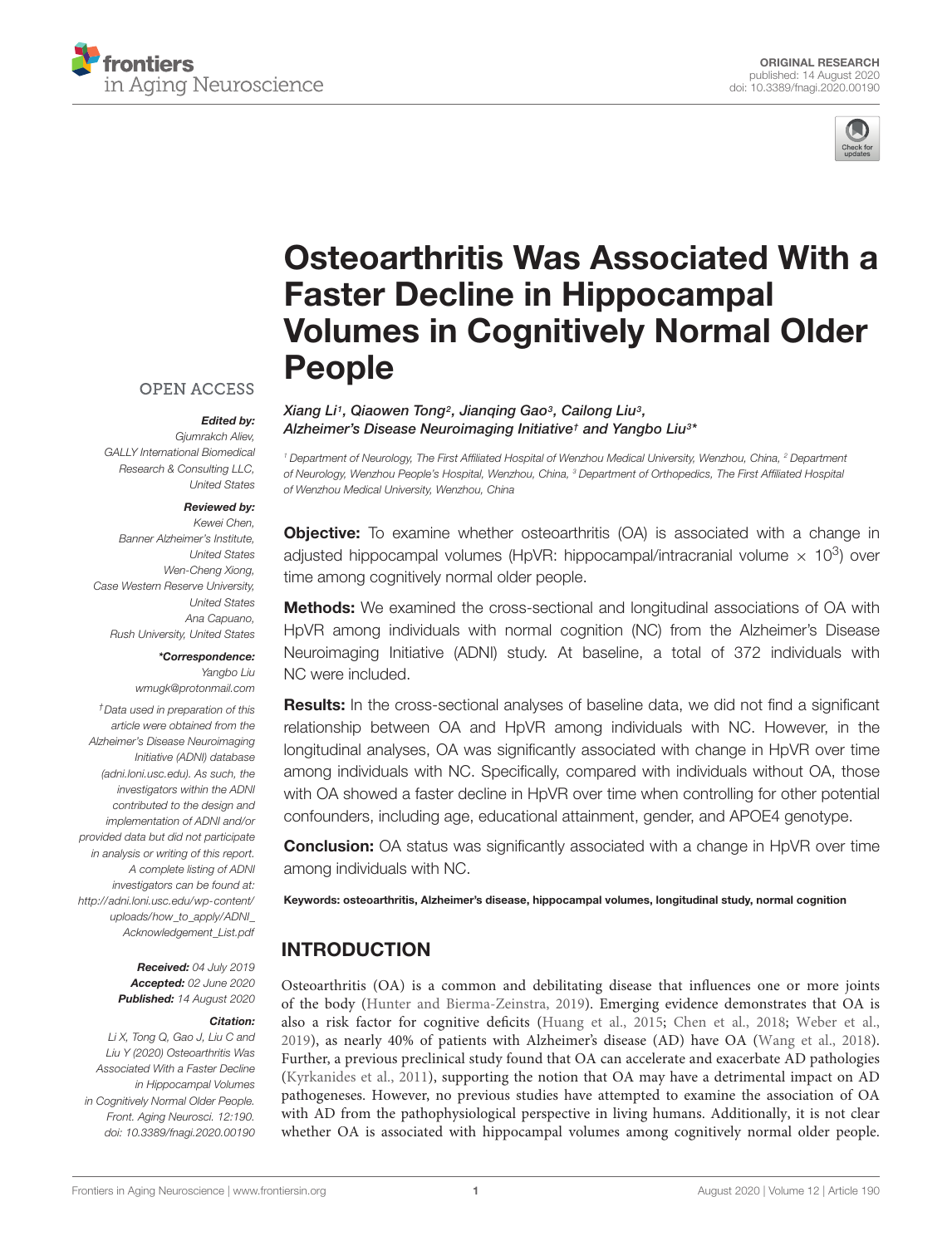



# [Osteoarthritis Was Associated With a](https://www.frontiersin.org/articles/10.3389/fnagi.2020.00190/full) Faster Decline in Hippocampal Volumes in Cognitively Normal Older People

Xiang Li1, Qiaowen Tong<sup>2</sup>, Jianqing Gao3, Cailong Liu3, Alzheimer's Disease Neuroimaging Initiative† and [Yangbo Liu](http://loop.frontiersin.org/people/767093/overview) $^{3\ast}$ 

<sup>1</sup> Department of Neurology, The First Affiliated Hospital of Wenzhou Medical University, Wenzhou, China, <sup>2</sup> Department of Neurology, Wenzhou People's Hospital, Wenzhou, China, <sup>3</sup> Department of Orthopedics, The First Affiliated Hospital of Wenzhou Medical University, Wenzhou, China

**Objective:** To examine whether osteoarthritis (OA) is associated with a change in adjusted hippocampal volumes (HpVR: hippocampal/intracranial volume  $\times$  10<sup>3</sup>) over time among cognitively normal older people.

**Methods:** We examined the cross-sectional and longitudinal associations of OA with HpVR among individuals with normal cognition (NC) from the Alzheimer's Disease Neuroimaging Initiative (ADNI) study. At baseline, a total of 372 individuals with NC were included.

**Results:** In the cross-sectional analyses of baseline data, we did not find a significant relationship between OA and HpVR among individuals with NC. However, in the longitudinal analyses, OA was significantly associated with change in HpVR over time among individuals with NC. Specifically, compared with individuals without OA, those with OA showed a faster decline in HpVR over time when controlling for other potential confounders, including age, educational attainment, gender, and APOE4 genotype.

**Conclusion:** OA status was significantly associated with a change in HpVR over time among individuals with NC.

Keywords: osteoarthritis, Alzheimer's disease, hippocampal volumes, longitudinal study, normal cognition

### INTRODUCTION

Osteoarthritis (OA) is a common and debilitating disease that influences one or more joints of the body [\(Hunter and Bierma-Zeinstra, 2019\)](#page-6-0). Emerging evidence demonstrates that OA is also a risk factor for cognitive deficits [\(Huang et al., 2015;](#page-6-1) [Chen et al., 2018;](#page-6-2) [Weber et al.,](#page-6-3) [2019\)](#page-6-3), as nearly 40% of patients with Alzheimer's disease (AD) have OA [\(Wang et al., 2018\)](#page-6-4). Further, a previous preclinical study found that OA can accelerate and exacerbate AD pathologies [\(Kyrkanides et al., 2011\)](#page-6-5), supporting the notion that OA may have a detrimental impact on AD pathogeneses. However, no previous studies have attempted to examine the association of OA with AD from the pathophysiological perspective in living humans. Additionally, it is not clear whether OA is associated with hippocampal volumes among cognitively normal older people.

**OPEN ACCESS** 

#### Edited by:

Gjumrakch Aliev, GALLY International Biomedical Research & Consulting LLC, United States

#### Reviewed by:

Kewei Chen, Banner Alzheimer's Institute, United States Wen-Cheng Xiong, Case Western Reserve University, United States Ana Capuano, Rush University, United States

#### \*Correspondence:

Yangbo Liu wmugk@protonmail.com

†Data used in preparation of this article were obtained from the Alzheimer's Disease Neuroimaging Initiative (ADNI) database [\(adni.loni.usc.edu\)](http://adni.loni.usc.edu/). As such, the investigators within the ADNI contributed to the design and implementation of ADNI and/or provided data but did not participate in analysis or writing of this report. A complete listing of ADNI investigators can be found at: [http://adni.loni.usc.edu/wp-content/](http://adni.loni.usc.edu/wp-content/uploads/how_to_apply/ADNI_Acknowledgement_List.pdf) [uploads/how\\_to\\_apply/ADNI\\_](http://adni.loni.usc.edu/wp-content/uploads/how_to_apply/ADNI_Acknowledgement_List.pdf) [Acknowledgement\\_List.pdf](http://adni.loni.usc.edu/wp-content/uploads/how_to_apply/ADNI_Acknowledgement_List.pdf)

> Received: 04 July 2019 Accepted: 02 June 2020 Published: 14 August 2020

#### Citation:

Li X, Tong Q, Gao J, Liu C and Liu Y (2020) Osteoarthritis Was Associated With a Faster Decline in Hippocampal Volumes in Cognitively Normal Older People. Front. Aging Neurosci. 12:190. doi: [10.3389/fnagi.2020.00190](https://doi.org/10.3389/fnagi.2020.00190)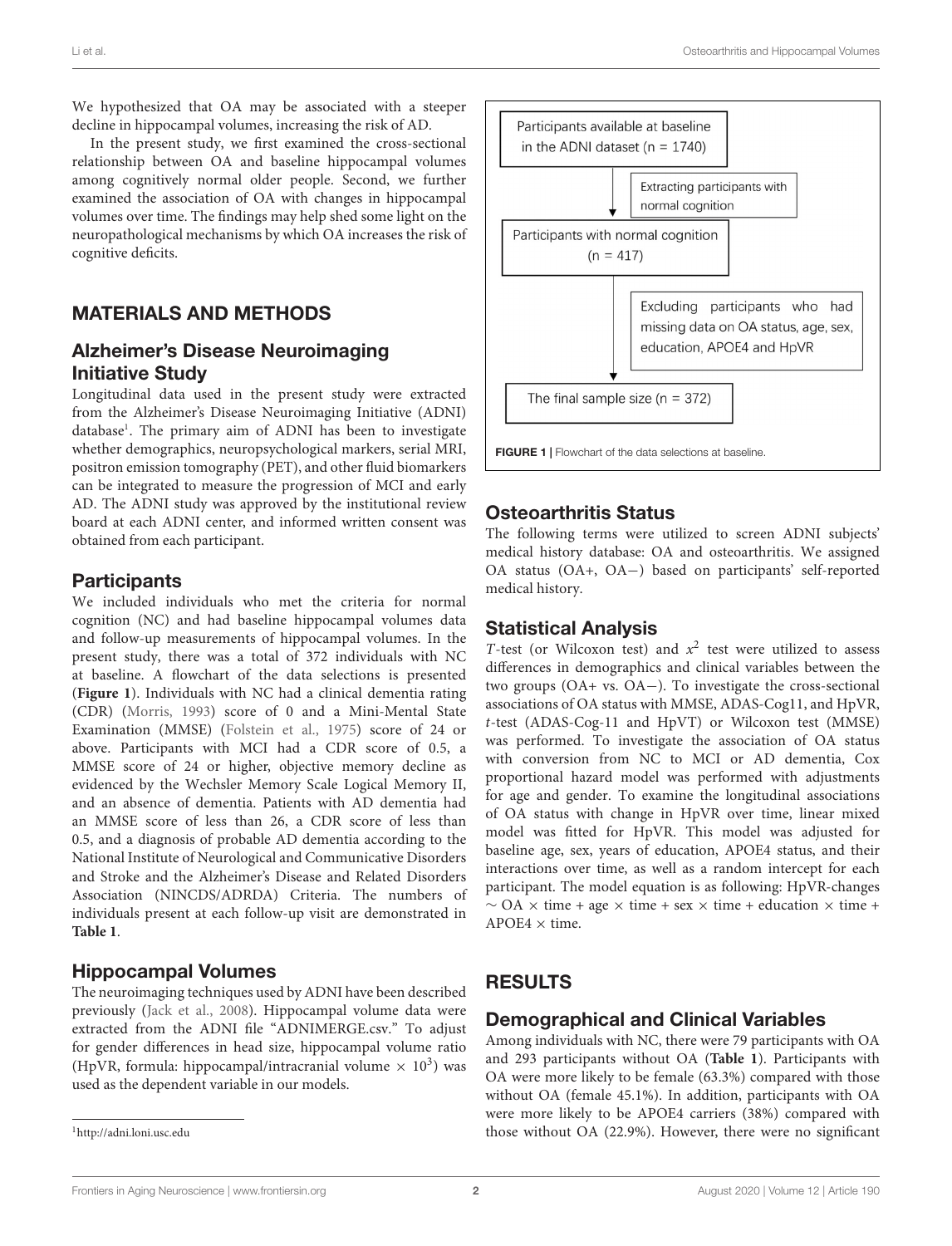We hypothesized that OA may be associated with a steeper decline in hippocampal volumes, increasing the risk of AD.

In the present study, we first examined the cross-sectional relationship between OA and baseline hippocampal volumes among cognitively normal older people. Second, we further examined the association of OA with changes in hippocampal volumes over time. The findings may help shed some light on the neuropathological mechanisms by which OA increases the risk of cognitive deficits.

### MATERIALS AND METHODS

### Alzheimer's Disease Neuroimaging Initiative Study

Longitudinal data used in the present study were extracted from the Alzheimer's Disease Neuroimaging Initiative (ADNI) database<sup>[1](#page-1-0)</sup>. The primary aim of ADNI has been to investigate whether demographics, neuropsychological markers, serial MRI, positron emission tomography (PET), and other fluid biomarkers can be integrated to measure the progression of MCI and early AD. The ADNI study was approved by the institutional review board at each ADNI center, and informed written consent was obtained from each participant.

### **Participants**

We included individuals who met the criteria for normal cognition (NC) and had baseline hippocampal volumes data and follow-up measurements of hippocampal volumes. In the present study, there was a total of 372 individuals with NC at baseline. A flowchart of the data selections is presented (**[Figure 1](#page-1-1)**). Individuals with NC had a clinical dementia rating (CDR) [\(Morris, 1993\)](#page-6-6) score of 0 and a Mini-Mental State Examination (MMSE) [\(Folstein et al., 1975\)](#page-6-7) score of 24 or above. Participants with MCI had a CDR score of 0.5, a MMSE score of 24 or higher, objective memory decline as evidenced by the Wechsler Memory Scale Logical Memory II, and an absence of dementia. Patients with AD dementia had an MMSE score of less than 26, a CDR score of less than 0.5, and a diagnosis of probable AD dementia according to the National Institute of Neurological and Communicative Disorders and Stroke and the Alzheimer's Disease and Related Disorders Association (NINCDS/ADRDA) Criteria. The numbers of individuals present at each follow-up visit are demonstrated in **[Table 1](#page-2-0)**.

### Hippocampal Volumes

The neuroimaging techniques used by ADNI have been described previously [\(Jack et al., 2008\)](#page-6-8). Hippocampal volume data were extracted from the ADNI file "ADNIMERGE.csv." To adjust for gender differences in head size, hippocampal volume ratio (HpVR, formula: hippocampal/intracranial volume  $\times$  10<sup>3</sup>) was used as the dependent variable in our models.

<span id="page-1-0"></span><sup>1</sup><http://adni.loni.usc.edu>



### <span id="page-1-1"></span>Osteoarthritis Status

The following terms were utilized to screen ADNI subjects' medical history database: OA and osteoarthritis. We assigned OA status (OA+, OA−) based on participants' self-reported medical history.

### Statistical Analysis

T-test (or Wilcoxon test) and  $x^2$  test were utilized to assess differences in demographics and clinical variables between the two groups (OA+ vs. OA−). To investigate the cross-sectional associations of OA status with MMSE, ADAS-Cog11, and HpVR, t-test (ADAS-Cog-11 and HpVT) or Wilcoxon test (MMSE) was performed. To investigate the association of OA status with conversion from NC to MCI or AD dementia, Cox proportional hazard model was performed with adjustments for age and gender. To examine the longitudinal associations of OA status with change in HpVR over time, linear mixed model was fitted for HpVR. This model was adjusted for baseline age, sex, years of education, APOE4 status, and their interactions over time, as well as a random intercept for each participant. The model equation is as following: HpVR-changes  $\sim$  OA  $\times$  time + age  $\times$  time + sex  $\times$  time + education  $\times$  time +  $APOE4 \times \text{time}$ 

# RESULTS

### Demographical and Clinical Variables

Among individuals with NC, there were 79 participants with OA and 293 participants without OA (**[Table 1](#page-2-0)**). Participants with OA were more likely to be female (63.3%) compared with those without OA (female 45.1%). In addition, participants with OA were more likely to be APOE4 carriers (38%) compared with those without OA (22.9%). However, there were no significant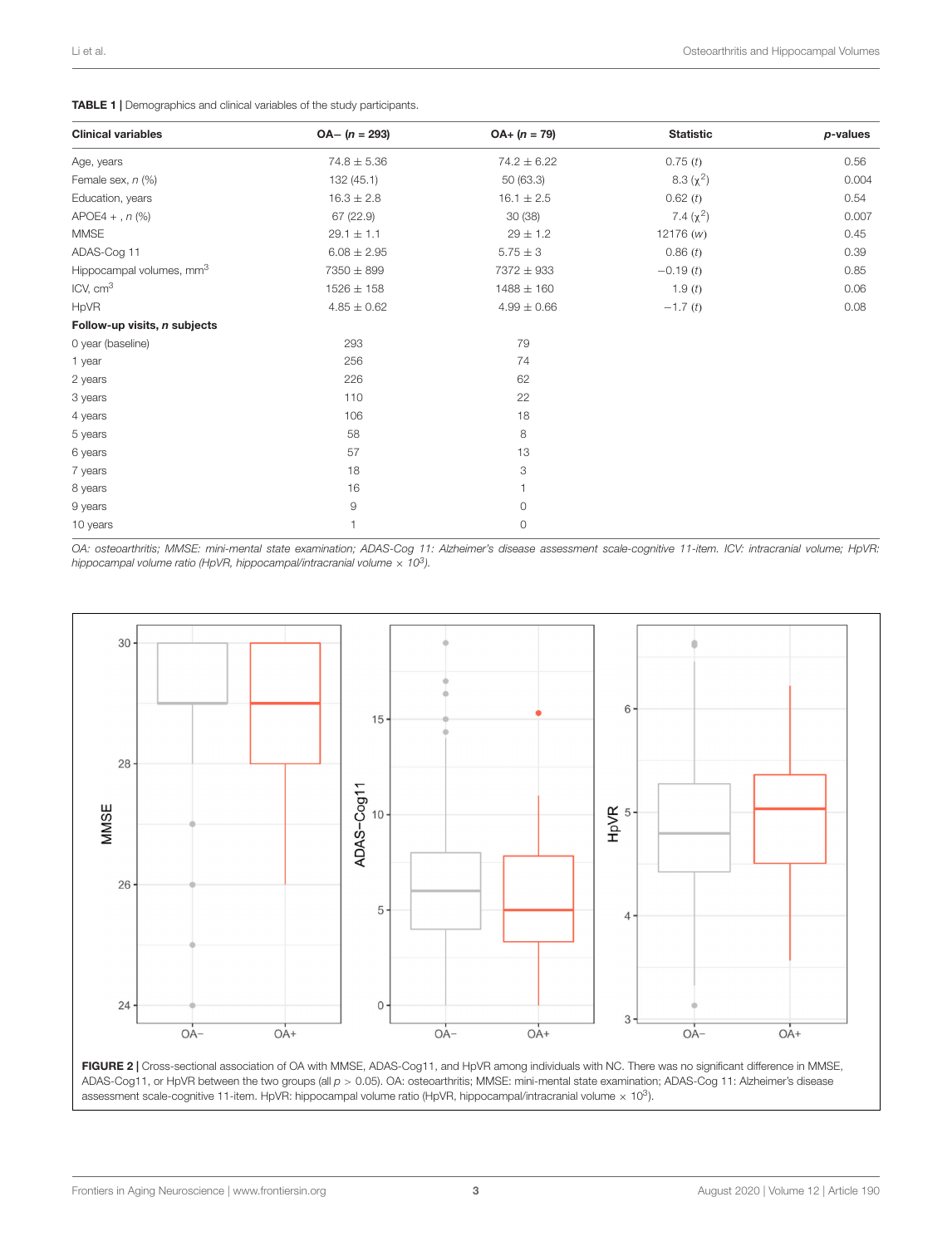#### <span id="page-2-0"></span>TABLE 1 | Demographics and clinical variables of the study participants.

| <b>Clinical variables</b>            | $OA - (n = 293)$ | $OA + (n = 79)$ | <b>Statistic</b> | p-values |
|--------------------------------------|------------------|-----------------|------------------|----------|
| Age, years                           | $74.8 \pm 5.36$  | $74.2 \pm 6.22$ | 0.75(t)          | 0.56     |
| Female sex, n (%)                    | 132(45.1)        | 50 (63.3)       | $8.3 (\chi^2)$   | 0.004    |
| Education, years                     | $16.3 \pm 2.8$   | $16.1 \pm 2.5$  | 0.62(t)          | 0.54     |
| $APOE4 +$ , $n$ (%)                  | 67 (22.9)        | 30(38)          | 7.4 $(\chi^2)$   | 0.007    |
| <b>MMSE</b>                          | $29.1 \pm 1.1$   | $29 \pm 1.2$    | 12176(w)         | 0.45     |
| ADAS-Cog 11                          | $6.08 \pm 2.95$  | $5.75 \pm 3$    | 0.86(t)          | 0.39     |
| Hippocampal volumes, mm <sup>3</sup> | 7350 ± 899       | 7372 ± 933      | $-0.19(t)$       | 0.85     |
| ICV, cm <sup>3</sup>                 | $1526 \pm 158$   | $1488 \pm 160$  | 1.9(t)           | 0.06     |
| HpVR                                 | $4.85 \pm 0.62$  | $4.99 \pm 0.66$ | $-1.7(t)$        | 0.08     |
| Follow-up visits, n subjects         |                  |                 |                  |          |
| 0 year (baseline)                    | 293              | 79              |                  |          |
| 1 year                               | 256              | 74              |                  |          |
| 2 years                              | 226              | 62              |                  |          |
| 3 years                              | 110              | 22              |                  |          |
| 4 years                              | 106              | 18              |                  |          |
| 5 years                              | 58               | 8               |                  |          |
| 6 years                              | 57               | 13              |                  |          |
| 7 years                              | 18               | 3               |                  |          |
| 8 years                              | 16               |                 |                  |          |
| 9 years                              | 9                | 0               |                  |          |
| 10 years                             | 1                | 0               |                  |          |

OA: osteoarthritis; MMSE: mini-mental state examination; ADAS-Cog 11: Alzheimer's disease assessment scale-cognitive 11-item. ICV: intracranial volume; HpVR: hippocampal volume ratio (HpVR, hippocampal/intracranial volume  $\times$  10 $^3$ ).



<span id="page-2-1"></span>FIGURE 2 | Cross-sectional association of OA with MMSE, ADAS-Cog11, and HpVR among individuals with NC. There was no significant difference in MMSE, ADAS-Cog11, or HpVR between the two groups (all  $p > 0.05$ ). OA: osteoarthritis; MMSE: mini-mental state examination; ADAS-Cog 11: Alzheimer's disease assessment scale-cognitive 11-item. HpVR: hippocampal volume ratio (HpVR, hippocampal/intracranial volume  $\times$  10<sup>3</sup>).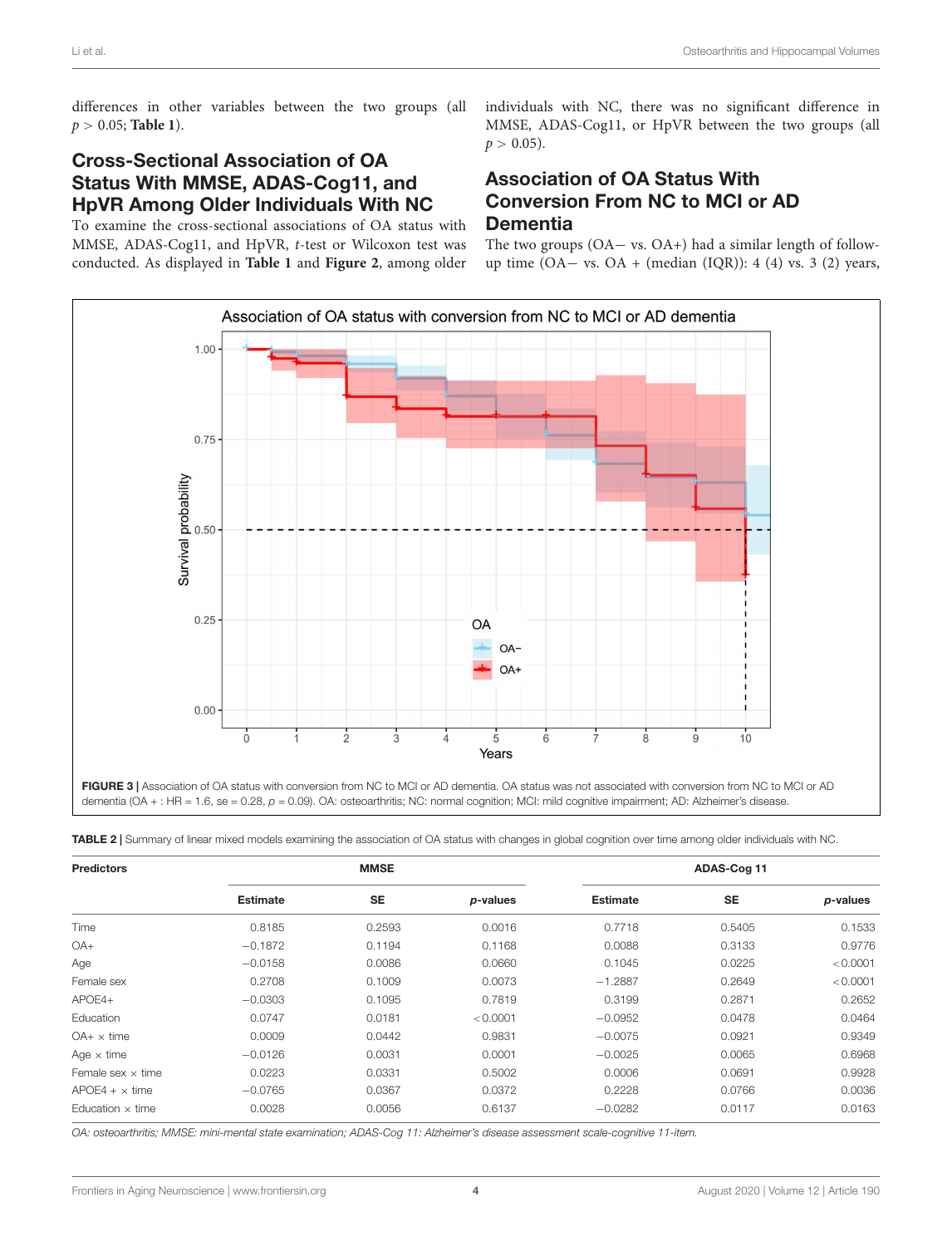differences in other variables between the two groups (all p > 0.05; **[Table 1](#page-2-0)**).

### Cross-Sectional Association of OA Status With MMSE, ADAS-Cog11, and HpVR Among Older Individuals With NC

To examine the cross-sectional associations of OA status with MMSE, ADAS-Cog11, and HpVR, t-test or Wilcoxon test was conducted. As displayed in **[Table 1](#page-2-0)** and **[Figure 2](#page-2-1)**, among older individuals with NC, there was no significant difference in MMSE, ADAS-Cog11, or HpVR between the two groups (all  $p > 0.05$ ).

### Association of OA Status With Conversion From NC to MCI or AD **Dementia**

The two groups (OA− vs. OA+) had a similar length of followup time (OA – vs. OA + (median (IQR)): 4 (4) vs. 3 (2) years,



<span id="page-3-1"></span><span id="page-3-0"></span>TABLE 2 | Summary of linear mixed models examining the association of OA status with changes in global cognition over time among older individuals with NC.

| <b>Predictors</b>        | <b>MMSE</b>     |           |          | ADAS-Cog 11     |           |          |
|--------------------------|-----------------|-----------|----------|-----------------|-----------|----------|
|                          | <b>Estimate</b> | <b>SE</b> | p-values | <b>Estimate</b> | <b>SE</b> | p-values |
| Time                     | 0.8185          | 0.2593    | 0.0016   | 0.7718          | 0.5405    | 0.1533   |
| OA+                      | $-0.1872$       | 0.1194    | 0.1168   | 0.0088          | 0.3133    | 0.9776   |
| Age                      | $-0.0158$       | 0.0086    | 0.0660   | 0.1045          | 0.0225    | < 0.0001 |
| Female sex               | 0.2708          | 0.1009    | 0.0073   | $-1.2887$       | 0.2649    | < 0.0001 |
| $APOE4+$                 | $-0.0303$       | 0.1095    | 0.7819   | 0.3199          | 0.2871    | 0.2652   |
| <b>Education</b>         | 0.0747          | 0.0181    | < 0.0001 | $-0.0952$       | 0.0478    | 0.0464   |
| $OA+ \times time$        | 0.0009          | 0.0442    | 0.9831   | $-0.0075$       | 0.0921    | 0.9349   |
| Age $\times$ time        | $-0.0126$       | 0.0031    | 0.0001   | $-0.0025$       | 0.0065    | 0.6968   |
| Female sex $\times$ time | 0.0223          | 0.0331    | 0.5002   | 0.0006          | 0.0691    | 0.9928   |
| $APOE4 + x$ time         | $-0.0765$       | 0.0367    | 0.0372   | 0.2228          | 0.0766    | 0.0036   |
| Education $\times$ time  | 0.0028          | 0.0056    | 0.6137   | $-0.0282$       | 0.0117    | 0.0163   |

OA: osteoarthritis; MMSE: mini-mental state examination; ADAS-Cog 11: Alzheimer's disease assessment scale-cognitive 11-item.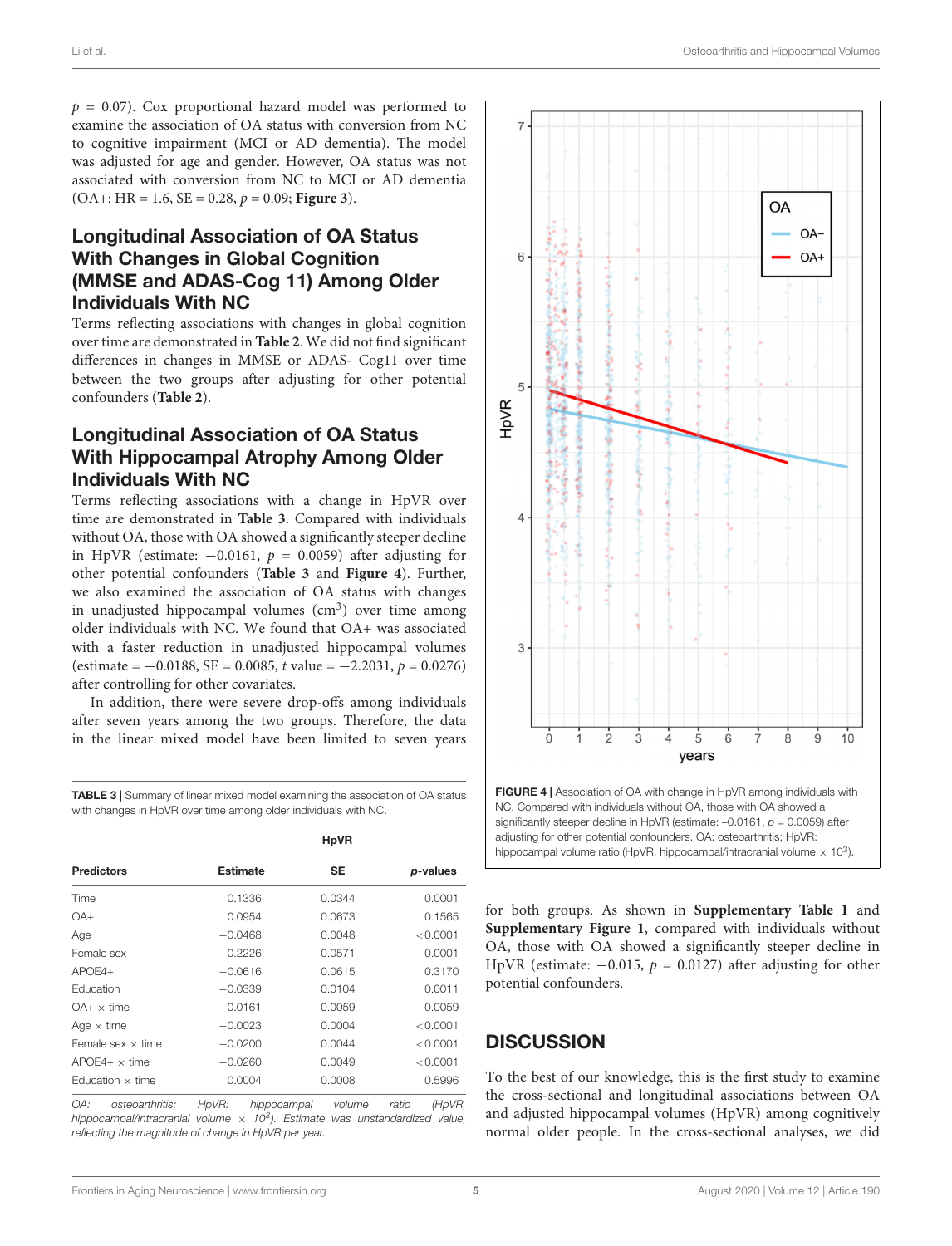$p = 0.07$ ). Cox proportional hazard model was performed to examine the association of OA status with conversion from NC to cognitive impairment (MCI or AD dementia). The model was adjusted for age and gender. However, OA status was not associated with conversion from NC to MCI or AD dementia  $(OA$  +: HR = 1.6, SE = 0.28,  $p = 0.09$ ; **[Figure 3](#page-3-0)**).

### Longitudinal Association of OA Status With Changes in Global Cognition (MMSE and ADAS-Cog 11) Among Older Individuals With NC

Terms reflecting associations with changes in global cognition over time are demonstrated in **[Table 2](#page-3-1)**. We did not find significant differences in changes in MMSE or ADAS- Cog11 over time between the two groups after adjusting for other potential confounders (**[Table 2](#page-3-1)**).

### Longitudinal Association of OA Status With Hippocampal Atrophy Among Older Individuals With NC

Terms reflecting associations with a change in HpVR over time are demonstrated in **[Table 3](#page-4-0)**. Compared with individuals without OA, those with OA showed a significantly steeper decline in HpVR (estimate:  $-0.0161$ ,  $p = 0.0059$ ) after adjusting for other potential confounders (**[Table 3](#page-4-0)** and **[Figure 4](#page-4-1)**). Further, we also examined the association of OA status with changes in unadjusted hippocampal volumes (cm<sup>3</sup>) over time among older individuals with NC. We found that OA+ was associated with a faster reduction in unadjusted hippocampal volumes  $($ estimate =  $-0.0188$ , SE = 0.0085, t value =  $-2.2031$ ,  $p = 0.0276$ ) after controlling for other covariates.

In addition, there were severe drop-offs among individuals after seven years among the two groups. Therefore, the data in the linear mixed model have been limited to seven years

<span id="page-4-0"></span>TABLE 3 | Summary of linear mixed model examining the association of OA status with changes in HpVR over time among older individuals with NC.

|                          | <b>HpVR</b>     |           |          |  |  |
|--------------------------|-----------------|-----------|----------|--|--|
| <b>Predictors</b>        | <b>Estimate</b> | <b>SE</b> | p-values |  |  |
| Time                     | 0.1336          | 0.0344    | 0.0001   |  |  |
| $OA+$                    | 0.0954          | 0.0673    | 0.1565   |  |  |
| Age                      | $-0.0468$       | 0.0048    | < 0.0001 |  |  |
| Female sex               | 0.2226          | 0.0571    | 0.0001   |  |  |
| $APOF4+$                 | $-0.0616$       | 0.0615    | 0.3170   |  |  |
| Education                | $-0.0339$       | 0.0104    | 0.0011   |  |  |
| $OA+ \times$ time        | $-0.0161$       | 0.0059    | 0.0059   |  |  |
| Age $\times$ time        | $-0.0023$       | 0.0004    | < 0.0001 |  |  |
| Female sex $\times$ time | $-0.0200$       | 0.0044    | < 0.0001 |  |  |
| $APOF4+ \times$ time     | $-0.0260$       | 0.0049    | < 0.0001 |  |  |
| Education $\times$ time  | 0.0004          | 0.0008    | 0.5996   |  |  |

OA: osteoarthritis; HpVR: hippocampal volume ratio (HpVR, hippocampal/intracranial volume  $\times$  10<sup>3</sup>). Estimate was unstandardized value, reflecting the magnitude of change in HpVR per year.



<span id="page-4-1"></span>for both groups. As shown in **[Supplementary Table 1](#page-6-9)** and **[Supplementary Figure 1](#page-6-9)**, compared with individuals without OA, those with OA showed a significantly steeper decline in HpVR (estimate:  $-0.015$ ,  $p = 0.0127$ ) after adjusting for other potential confounders.

### **DISCUSSION**

To the best of our knowledge, this is the first study to examine the cross-sectional and longitudinal associations between OA and adjusted hippocampal volumes (HpVR) among cognitively normal older people. In the cross-sectional analyses, we did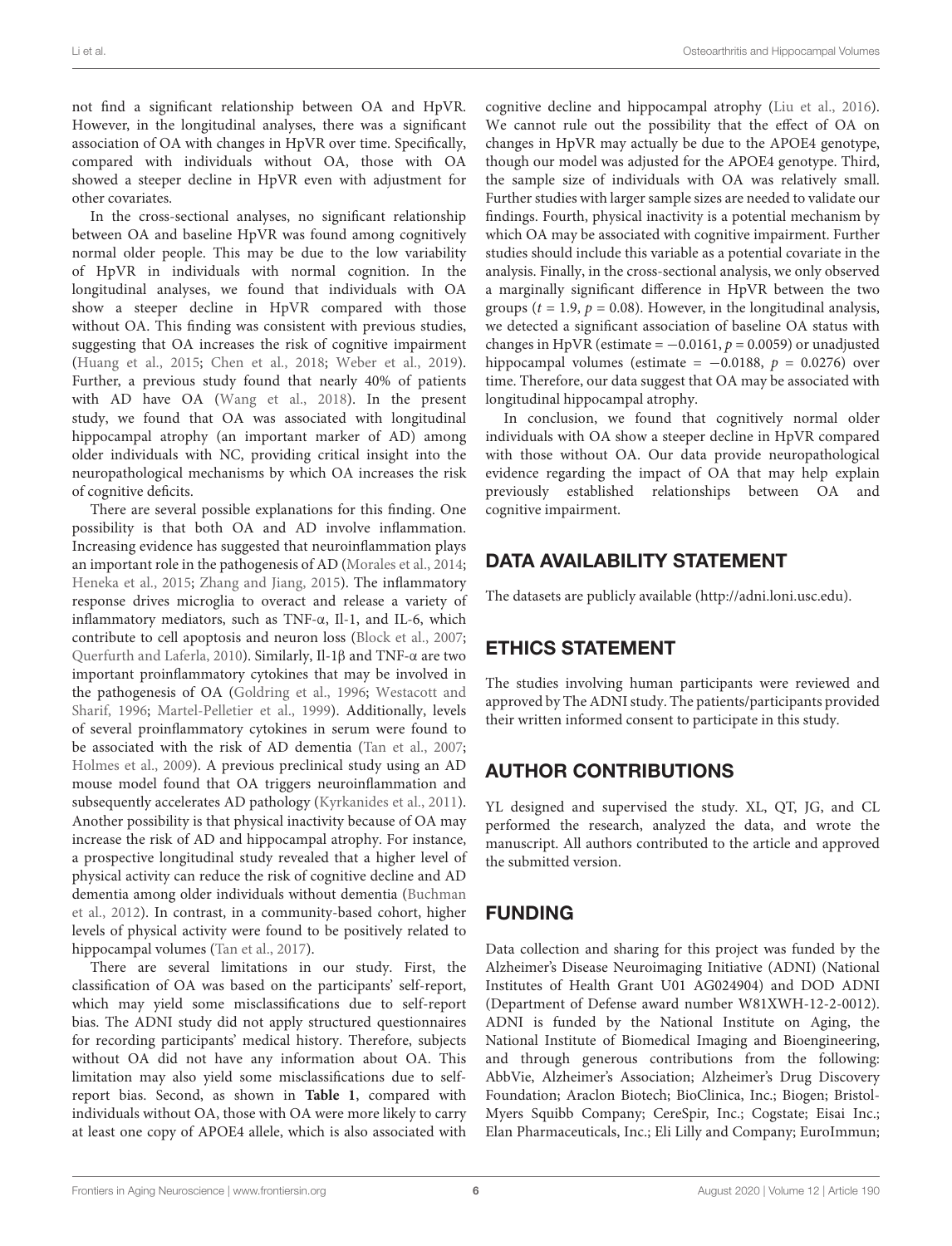not find a significant relationship between OA and HpVR. However, in the longitudinal analyses, there was a significant association of OA with changes in HpVR over time. Specifically, compared with individuals without OA, those with OA showed a steeper decline in HpVR even with adjustment for other covariates.

In the cross-sectional analyses, no significant relationship between OA and baseline HpVR was found among cognitively normal older people. This may be due to the low variability of HpVR in individuals with normal cognition. In the longitudinal analyses, we found that individuals with OA show a steeper decline in HpVR compared with those without OA. This finding was consistent with previous studies, suggesting that OA increases the risk of cognitive impairment [\(Huang et al., 2015;](#page-6-1) [Chen et al., 2018;](#page-6-2) [Weber et al., 2019\)](#page-6-3). Further, a previous study found that nearly 40% of patients with AD have OA [\(Wang et al., 2018\)](#page-6-4). In the present study, we found that OA was associated with longitudinal hippocampal atrophy (an important marker of AD) among older individuals with NC, providing critical insight into the neuropathological mechanisms by which OA increases the risk of cognitive deficits.

There are several possible explanations for this finding. One possibility is that both OA and AD involve inflammation. Increasing evidence has suggested that neuroinflammation plays an important role in the pathogenesis of AD [\(Morales et al., 2014;](#page-6-10) [Heneka et al., 2015;](#page-6-11) [Zhang and Jiang, 2015\)](#page-6-12). The inflammatory response drives microglia to overact and release a variety of inflammatory mediators, such as TNF-α, Il-1, and IL-6, which contribute to cell apoptosis and neuron loss [\(Block et al., 2007;](#page-6-13) [Querfurth and Laferla, 2010\)](#page-6-14). Similarly, Il-1β and TNF-α are two important proinflammatory cytokines that may be involved in the pathogenesis of OA [\(Goldring et al., 1996;](#page-6-15) [Westacott and](#page-6-16) [Sharif, 1996;](#page-6-16) [Martel-Pelletier et al., 1999\)](#page-6-17). Additionally, levels of several proinflammatory cytokines in serum were found to be associated with the risk of AD dementia [\(Tan et al., 2007;](#page-6-18) [Holmes et al., 2009\)](#page-6-19). A previous preclinical study using an AD mouse model found that OA triggers neuroinflammation and subsequently accelerates AD pathology [\(Kyrkanides et al., 2011\)](#page-6-5). Another possibility is that physical inactivity because of OA may increase the risk of AD and hippocampal atrophy. For instance, a prospective longitudinal study revealed that a higher level of physical activity can reduce the risk of cognitive decline and AD dementia among older individuals without dementia [\(Buchman](#page-6-20) [et al., 2012\)](#page-6-20). In contrast, in a community-based cohort, higher levels of physical activity were found to be positively related to hippocampal volumes [\(Tan et al., 2017\)](#page-6-21).

There are several limitations in our study. First, the classification of OA was based on the participants' self-report, which may yield some misclassifications due to self-report bias. The ADNI study did not apply structured questionnaires for recording participants' medical history. Therefore, subjects without OA did not have any information about OA. This limitation may also yield some misclassifications due to selfreport bias. Second, as shown in **[Table 1](#page-2-0)**, compared with individuals without OA, those with OA were more likely to carry at least one copy of APOE4 allele, which is also associated with

cognitive decline and hippocampal atrophy [\(Liu et al., 2016\)](#page-6-22). We cannot rule out the possibility that the effect of OA on changes in HpVR may actually be due to the APOE4 genotype, though our model was adjusted for the APOE4 genotype. Third, the sample size of individuals with OA was relatively small. Further studies with larger sample sizes are needed to validate our findings. Fourth, physical inactivity is a potential mechanism by which OA may be associated with cognitive impairment. Further studies should include this variable as a potential covariate in the analysis. Finally, in the cross-sectional analysis, we only observed a marginally significant difference in HpVR between the two groups ( $t = 1.9$ ,  $p = 0.08$ ). However, in the longitudinal analysis, we detected a significant association of baseline OA status with changes in HpVR (estimate =  $-0.0161$ ,  $p = 0.0059$ ) or unadjusted hippocampal volumes (estimate =  $-0.0188$ ,  $p = 0.0276$ ) over time. Therefore, our data suggest that OA may be associated with longitudinal hippocampal atrophy.

In conclusion, we found that cognitively normal older individuals with OA show a steeper decline in HpVR compared with those without OA. Our data provide neuropathological evidence regarding the impact of OA that may help explain previously established relationships between OA and cognitive impairment.

## DATA AVAILABILITY STATEMENT

The datasets are publicly available [\(http://adni.loni.usc.edu\)](http://adni.loni.usc.edu).

### ETHICS STATEMENT

The studies involving human participants were reviewed and approved by The ADNI study. The patients/participants provided their written informed consent to participate in this study.

# AUTHOR CONTRIBUTIONS

YL designed and supervised the study. XL, QT, JG, and CL performed the research, analyzed the data, and wrote the manuscript. All authors contributed to the article and approved the submitted version.

# FUNDING

Data collection and sharing for this project was funded by the Alzheimer's Disease Neuroimaging Initiative (ADNI) (National Institutes of Health Grant U01 AG024904) and DOD ADNI (Department of Defense award number W81XWH-12-2-0012). ADNI is funded by the National Institute on Aging, the National Institute of Biomedical Imaging and Bioengineering, and through generous contributions from the following: AbbVie, Alzheimer's Association; Alzheimer's Drug Discovery Foundation; Araclon Biotech; BioClinica, Inc.; Biogen; Bristol-Myers Squibb Company; CereSpir, Inc.; Cogstate; Eisai Inc.; Elan Pharmaceuticals, Inc.; Eli Lilly and Company; EuroImmun;